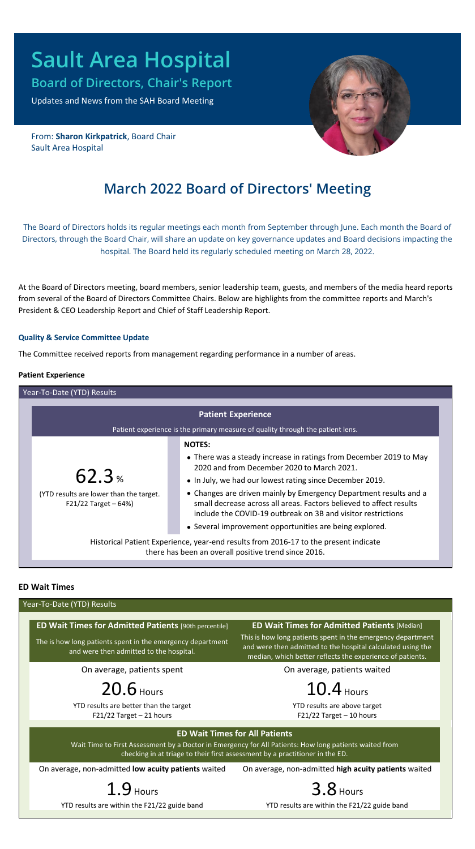# **Sault Area Hospital**

**Board of Directors, Chair's Report**

Updates and News from the SAH Board Meeting

From: **Sharon Kirkpatrick**, Board Chair Sault Area Hospital

# **March 2022 Board of Directors' Meeting**

The Board of Directors holds its regular meetings each month from September through June. Each month the Board of Directors, through the Board Chair, will share an update on key governance updates and Board decisions impacting the hospital. The Board held its regularly scheduled meeting on March 28, 2022.

At the Board of Directors meeting, board members, senior leadership team, guests, and members of the media heard reports from several of the Board of Directors Committee Chairs. Below are highlights from the committee reports and March's President & CEO Leadership Report and Chief of Staff Leadership Report.

# **Quality & Service Committee Update**

The Committee received reports from management regarding performance in a number of areas.

# **Patient Experience**

| Year-To-Date (YTD) Results                                                                                                                   |                                                                                                                                                                                                          |  |
|----------------------------------------------------------------------------------------------------------------------------------------------|----------------------------------------------------------------------------------------------------------------------------------------------------------------------------------------------------------|--|
| <b>Patient Experience</b><br>Patient experience is the primary measure of quality through the patient lens.                                  |                                                                                                                                                                                                          |  |
|                                                                                                                                              | <b>NOTES:</b>                                                                                                                                                                                            |  |
| $62.3*$                                                                                                                                      | • There was a steady increase in ratings from December 2019 to May<br>2020 and from December 2020 to March 2021.                                                                                         |  |
|                                                                                                                                              | • In July, we had our lowest rating since December 2019.                                                                                                                                                 |  |
| (YTD results are lower than the target.<br>F21/22 Target $-64%$                                                                              | • Changes are driven mainly by Emergency Department results and a<br>small decrease across all areas. Factors believed to affect results<br>include the COVID-19 outbreak on 3B and visitor restrictions |  |
|                                                                                                                                              | • Several improvement opportunities are being explored.                                                                                                                                                  |  |
| Historical Patient Experience, year-end results from 2016-17 to the present indicate<br>there has been an overall positive trend since 2016. |                                                                                                                                                                                                          |  |

# **ED Wait Times**

|                                                                                                                                                                                                                                 | Year-To-Date (YTD) Results                                                                                                                                                              |  |  |
|---------------------------------------------------------------------------------------------------------------------------------------------------------------------------------------------------------------------------------|-----------------------------------------------------------------------------------------------------------------------------------------------------------------------------------------|--|--|
| <b>ED Wait Times for Admitted Patients</b> [90th percentile]                                                                                                                                                                    | <b>ED Wait Times for Admitted Patients [Median]</b>                                                                                                                                     |  |  |
| The is how long patients spent in the emergency department<br>and were then admitted to the hospital.                                                                                                                           | This is how long patients spent in the emergency department<br>and were then admitted to the hospital calculated using the<br>median, which better reflects the experience of patients. |  |  |
| On average, patients spent                                                                                                                                                                                                      | On average, patients waited                                                                                                                                                             |  |  |
| 20.6 Hours                                                                                                                                                                                                                      | $10.4$ Hours                                                                                                                                                                            |  |  |
| YTD results are better than the target<br>$F21/22$ Target - 21 hours                                                                                                                                                            | YTD results are above target<br>$F21/22$ Target - 10 hours                                                                                                                              |  |  |
| <b>ED Wait Times for All Patients</b><br>Wait Time to First Assessment by a Doctor in Emergency for All Patients: How long patients waited from<br>checking in at triage to their first assessment by a practitioner in the ED. |                                                                                                                                                                                         |  |  |
| On average, non-admitted low acuity patients waited                                                                                                                                                                             | On average, non-admitted high acuity patients waited                                                                                                                                    |  |  |
| 1.9 <sub>Hours</sub>                                                                                                                                                                                                            | $3.8$ Hours                                                                                                                                                                             |  |  |
| YTD results are within the F21/22 guide band                                                                                                                                                                                    | YTD results are within the F21/22 guide band                                                                                                                                            |  |  |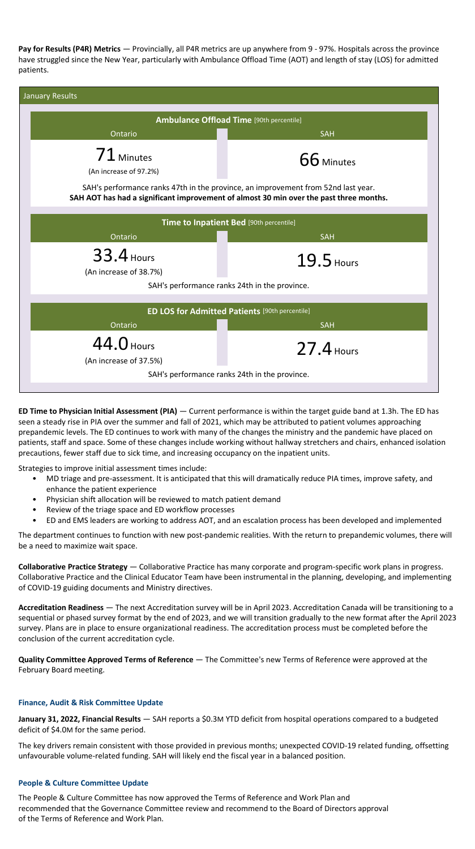**Pay for Results (P4R) Metrics** — Provincially, all P4R metrics are up anywhere from 9 - 97%. Hospitals across the province have struggled since the New Year, particularly with Ambulance Offload Time (AOT) and length of stay (LOS) for admitted patients.

| January Results                                                                                                                                                             |              |  |  |
|-----------------------------------------------------------------------------------------------------------------------------------------------------------------------------|--------------|--|--|
| <b>Ambulance Offload Time</b> [90th percentile]                                                                                                                             |              |  |  |
| Ontario                                                                                                                                                                     | <b>SAH</b>   |  |  |
| $71$ Minutes<br>(An increase of 97.2%)                                                                                                                                      | 66 Minutes   |  |  |
| SAH's performance ranks 47th in the province, an improvement from 52nd last year.<br>SAH AOT has had a significant improvement of almost 30 min over the past three months. |              |  |  |
| Time to Inpatient Bed [90th percentile]                                                                                                                                     |              |  |  |
| Ontario                                                                                                                                                                     | <b>SAH</b>   |  |  |
| <b>33.4 Hours</b><br>(An increase of 38.7%)                                                                                                                                 | 19.5 Hours   |  |  |
| SAH's performance ranks 24th in the province.                                                                                                                               |              |  |  |
| <b>ED LOS for Admitted Patients</b> [90th percentile]<br>SAH<br>Ontario                                                                                                     |              |  |  |
| 44.0 Hours<br>(An increase of 37.5%)                                                                                                                                        | $27.4$ Hours |  |  |
| SAH's performance ranks 24th in the province.                                                                                                                               |              |  |  |

**ED Time to Physician Initial Assessment (PIA)** — Current performance is within the target guide band at 1.3h. The ED has seen a steady rise in PIA over the summer and fall of 2021, which may be attributed to patient volumes approaching prepandemic levels. The ED continues to work with many of the changes the ministry and the pandemic have placed on patients, staff and space. Some of these changes include working without hallway stretchers and chairs, enhanced isolation precautions, fewer staff due to sick time, and increasing occupancy on the inpatient units.

Strategies to improve initial assessment times include:

- MD triage and pre-assessment. It is anticipated that this will dramatically reduce PIA times, improve safety, and enhance the patient experience
- Physician shift allocation will be reviewed to match patient demand
- Review of the triage space and ED workflow processes
- ED and EMS leaders are working to address AOT, and an escalation process has been developed and implemented

The department continues to function with new post-pandemic realities. With the return to prepandemic volumes, there will be a need to maximize wait space.

**Collaborative Practice Strategy** — Collaborative Practice has many corporate and program-specific work plans in progress. Collaborative Practice and the Clinical Educator Team have been instrumental in the planning, developing, and implementing of COVID-19 guiding documents and Ministry directives.

**Accreditation Readiness** — The next Accreditation survey will be in April 2023. Accreditation Canada will be transitioning to a sequential or phased survey format by the end of 2023, and we will transition gradually to the new format after the April 2023 survey. Plans are in place to ensure organizational readiness. The accreditation process must be completed before the conclusion of the current accreditation cycle.

**Quality Committee Approved Terms of Reference** — The Committee's new Terms of Reference were approved at the February Board meeting.

# **Finance, Audit & Risk Committee Update**

**January 31, 2022, Financial Results** — SAH reports a \$0.3M YTD deficit from hospital operations compared to a budgeted deficit of \$4.0M for the same period.

The key drivers remain consistent with those provided in previous months; unexpected COVID-19 related funding, offsetting unfavourable volume-related funding. SAH will likely end the fiscal year in a balanced position.

#### **People & Culture Committee Update**

The People & Culture Committee has now approved the Terms of Reference and Work Plan and recommended that the Governance Committee review and recommend to the Board of Directors approval of the Terms of Reference and Work Plan.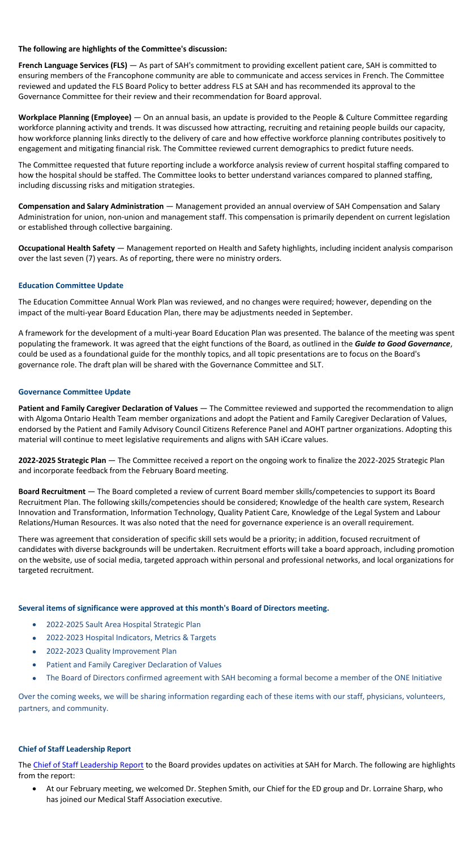# **The following are highlights of the Committee's discussion:**

**French Language Services (FLS)** — As part of SAH's commitment to providing excellent patient care, SAH is committed to ensuring members of the Francophone community are able to communicate and access services in French. The Committee reviewed and updated the FLS Board Policy to better address FLS at SAH and has recommended its approval to the Governance Committee for their review and their recommendation for Board approval.

**Workplace Planning (Employee)** — On an annual basis, an update is provided to the People & Culture Committee regarding workforce planning activity and trends. It was discussed how attracting, recruiting and retaining people builds our capacity, how workforce planning links directly to the delivery of care and how effective workforce planning contributes positively to engagement and mitigating financial risk. The Committee reviewed current demographics to predict future needs.

The Committee requested that future reporting include a workforce analysis review of current hospital staffing compared to how the hospital should be staffed. The Committee looks to better understand variances compared to planned staffing, including discussing risks and mitigation strategies.

**Compensation and Salary Administration** — Management provided an annual overview of SAH Compensation and Salary Administration for union, non-union and management staff. This compensation is primarily dependent on current legislation or established through collective bargaining.

**Occupational Health Safety** — Management reported on Health and Safety highlights, including incident analysis comparison over the last seven (7) years. As of reporting, there were no ministry orders.

# **Education Committee Update**

The Education Committee Annual Work Plan was reviewed, and no changes were required; however, depending on the impact of the multi-year Board Education Plan, there may be adjustments needed in September.

A framework for the development of a multi-year Board Education Plan was presented. The balance of the meeting was spent populating the framework. It was agreed that the eight functions of the Board, as outlined in the *Guide to Good Governance*, could be used as a foundational guide for the monthly topics, and all topic presentations are to focus on the Board's governance role. The draft plan will be shared with the Governance Committee and SLT.

#### **Governance Committee Update**

**Patient and Family Caregiver Declaration of Values** — The Committee reviewed and supported the recommendation to align with Algoma Ontario Health Team member organizations and adopt the Patient and Family Caregiver Declaration of Values, endorsed by the Patient and Family Advisory Council Citizens Reference Panel and AOHT partner organizations. Adopting this material will continue to meet legislative requirements and aligns with SAH iCcare values.

**2022-2025 Strategic Plan** — The Committee received a report on the ongoing work to finalize the 2022-2025 Strategic Plan and incorporate feedback from the February Board meeting.

**Board Recruitment** — The Board completed a review of current Board member skills/competencies to support its Board Recruitment Plan. The following skills/competencies should be considered; Knowledge of the health care system, Research Innovation and Transformation, Information Technology, Quality Patient Care, Knowledge of the Legal System and Labour Relations/Human Resources. It was also noted that the need for governance experience is an overall requirement.

There was agreement that consideration of specific skill sets would be a priority; in addition, focused recruitment of candidates with diverse backgrounds will be undertaken. Recruitment efforts will take a board approach, including promotion on the website, use of social media, targeted approach within personal and professional networks, and local organizations for targeted recruitment.

#### **Several items of significance were approved at this month's Board of Directors meeting.**

- 2022-2025 Sault Area Hospital Strategic Plan
- 2022-2023 Hospital Indicators, Metrics & Targets
- 2022-2023 Quality Improvement Plan
- Patient and Family Caregiver Declaration of Values
- The Board of Directors confirmed agreement with SAH becoming a formal become a member of the ONE Initiative

Over the coming weeks, we will be sharing information regarding each of these items with our staff, physicians, volunteers, partners, and community.

#### **Chief of Staff Leadership Report**

The [Chief of Staff Leadership Report](https://sah.on.ca/wp-content/uploads/2022/03/Chief-of-Staff-Leadership-Report-March-2022.pdf) to the Board provides updates on activities at SAH for March. The following are highlights from the report:

 At our February meeting, we welcomed Dr. Stephen Smith, our Chief for the ED group and Dr. Lorraine Sharp, who has joined our Medical Staff Association executive.